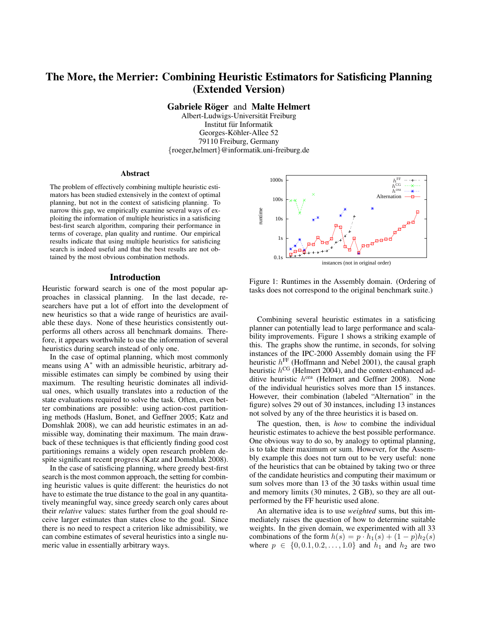# The More, the Merrier: Combining Heuristic Estimators for Satisficing Planning (Extended Version)

Gabriele Röger and Malte Helmert

Albert-Ludwigs-Universität Freiburg Institut fur Informatik ¨ Georges-Köhler-Allee 52 79110 Freiburg, Germany {roeger,helmert}@informatik.uni-freiburg.de

#### Abstract

The problem of effectively combining multiple heuristic estimators has been studied extensively in the context of optimal planning, but not in the context of satisficing planning. To narrow this gap, we empirically examine several ways of exploiting the information of multiple heuristics in a satisficing best-first search algorithm, comparing their performance in terms of coverage, plan quality and runtime. Our empirical results indicate that using multiple heuristics for satisficing search is indeed useful and that the best results are not obtained by the most obvious combination methods.

#### Introduction

Heuristic forward search is one of the most popular approaches in classical planning. In the last decade, researchers have put a lot of effort into the development of new heuristics so that a wide range of heuristics are available these days. None of these heuristics consistently outperforms all others across all benchmark domains. Therefore, it appears worthwhile to use the information of several heuristics during search instead of only one.

In the case of optimal planning, which most commonly means using A<sup>∗</sup> with an admissible heuristic, arbitrary admissible estimates can simply be combined by using their maximum. The resulting heuristic dominates all individual ones, which usually translates into a reduction of the state evaluations required to solve the task. Often, even better combinations are possible: using action-cost partitioning methods (Haslum, Bonet, and Geffner 2005; Katz and Domshlak 2008), we can add heuristic estimates in an admissible way, dominating their maximum. The main drawback of these techniques is that efficiently finding good cost partitionings remains a widely open research problem despite significant recent progress (Katz and Domshlak 2008).

In the case of satisficing planning, where greedy best-first search is the most common approach, the setting for combining heuristic values is quite different: the heuristics do not have to estimate the true distance to the goal in any quantitatively meaningful way, since greedy search only cares about their *relative* values: states further from the goal should receive larger estimates than states close to the goal. Since there is no need to respect a criterion like admissibility, we can combine estimates of several heuristics into a single numeric value in essentially arbitrary ways.



Figure 1: Runtimes in the Assembly domain. (Ordering of tasks does not correspond to the original benchmark suite.)

Combining several heuristic estimates in a satisficing planner can potentially lead to large performance and scalability improvements. Figure 1 shows a striking example of this. The graphs show the runtime, in seconds, for solving instances of the IPC-2000 Assembly domain using the FF heuristic  $h^{\text{FF}}$  (Hoffmann and Nebel 2001), the causal graph heuristic  $h^{\text{CG}}$  (Helmert 2004), and the context-enhanced additive heuristic  $h^{cea}$  (Helmert and Geffner 2008). None of the individual heuristics solves more than 15 instances. However, their combination (labeled "Alternation" in the figure) solves 29 out of 30 instances, including 13 instances not solved by any of the three heuristics it is based on.

The question, then, is *how* to combine the individual heuristic estimates to achieve the best possible performance. One obvious way to do so, by analogy to optimal planning, is to take their maximum or sum. However, for the Assembly example this does not turn out to be very useful: none of the heuristics that can be obtained by taking two or three of the candidate heuristics and computing their maximum or sum solves more than 13 of the 30 tasks within usual time and memory limits (30 minutes, 2 GB), so they are all outperformed by the FF heuristic used alone.

An alternative idea is to use *weighted* sums, but this immediately raises the question of how to determine suitable weights. In the given domain, we experimented with all 33 combinations of the form  $h(s) = p \cdot h_1(s) + (1 - p)h_2(s)$ where  $p \in \{0, 0.1, 0.2, ..., 1.0\}$  and  $h_1$  and  $h_2$  are two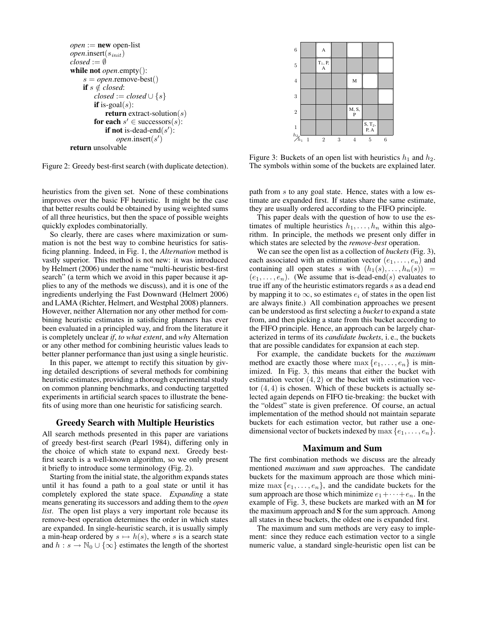```
open := new open-listopen.insert(sinit)
closed := \emptysetwhile not open.empty():
    s = open.remove-best()
    if s \notin closed:
        closed := closed \cup \{s\}if is-goal(s):
            return extract-solution(s)
        for each s' \in successors(s):
            if not is-dead-end(s'):
                open.insert(s')return unsolvable
```
Figure 2: Greedy best-first search (with duplicate detection).

heuristics from the given set. None of these combinations improves over the basic FF heuristic. It might be the case that better results could be obtained by using weighted sums of all three heuristics, but then the space of possible weights quickly explodes combinatorially.

So clearly, there are cases where maximization or summation is not the best way to combine heuristics for satisficing planning. Indeed, in Fig. 1, the *Alternation* method is vastly superior. This method is not new: it was introduced by Helmert (2006) under the name "multi-heuristic best-first search" (a term which we avoid in this paper because it applies to any of the methods we discuss), and it is one of the ingredients underlying the Fast Downward (Helmert 2006) and LAMA (Richter, Helmert, and Westphal 2008) planners. However, neither Alternation nor any other method for combining heuristic estimates in satisficing planners has ever been evaluated in a principled way, and from the literature it is completely unclear *if*, *to what extent*, and *why* Alternation or any other method for combining heuristic values leads to better planner performance than just using a single heuristic.

In this paper, we attempt to rectify this situation by giving detailed descriptions of several methods for combining heuristic estimates, providing a thorough experimental study on common planning benchmarks, and conducting targetted experiments in artificial search spaces to illustrate the benefits of using more than one heuristic for satisficing search.

## Greedy Search with Multiple Heuristics

All search methods presented in this paper are variations of greedy best-first search (Pearl 1984), differing only in the choice of which state to expand next. Greedy bestfirst search is a well-known algorithm, so we only present it briefly to introduce some terminology (Fig. 2).

Starting from the initial state, the algorithm expands states until it has found a path to a goal state or until it has completely explored the state space. *Expanding* a state means generating its successors and adding them to the *open list*. The open list plays a very important role because its remove-best operation determines the order in which states are expanded. In single-heuristic search, it is usually simply a min-heap ordered by  $s \mapsto h(s)$ , where s is a search state and  $h : s \to \mathbb{N}_0 \cup \{\infty\}$  estimates the length of the shortest



Figure 3: Buckets of an open list with heuristics  $h_1$  and  $h_2$ . The symbols within some of the buckets are explained later.

path from s to any goal state. Hence, states with a low estimate are expanded first. If states share the same estimate, they are usually ordered according to the FIFO principle.

This paper deals with the question of how to use the estimates of multiple heuristics  $h_1, \ldots, h_n$  within this algorithm. In principle, the methods we present only differ in which states are selected by the *remove-best* operation.

We can see the open list as a collection of *buckets* (Fig. 3), each associated with an estimation vector  $(e_1, \ldots, e_n)$  and containing all open states s with  $(h_1(s), \ldots, h_n(s)) =$  $(e_1, \ldots, e_n)$ . (We assume that is-dead-end(s) evaluates to true iff any of the heuristic estimators regards s as a dead end by mapping it to  $\infty$ , so estimates  $e_i$  of states in the open list are always finite.) All combination approaches we present can be understood as first selecting a *bucket* to expand a state from, and then picking a state from this bucket according to the FIFO principle. Hence, an approach can be largely characterized in terms of its *candidate buckets*, i. e., the buckets that are possible candidates for expansion at each step.

For example, the candidate buckets for the *maximum* method are exactly those where  $\max\{e_1, \ldots, e_n\}$  is minimized. In Fig. 3, this means that either the bucket with estimation vector  $(4, 2)$  or the bucket with estimation vector  $(4, 4)$  is chosen. Which of these buckets is actually selected again depends on FIFO tie-breaking: the bucket with the "oldest" state is given preference. Of course, an actual implementation of the method should not maintain separate buckets for each estimation vector, but rather use a onedimensional vector of buckets indexed by max  $\{e_1, \ldots, e_n\}$ .

## Maximum and Sum

The first combination methods we discuss are the already mentioned *maximum* and *sum* approaches. The candidate buckets for the maximum approach are those which minimize  $\max\{e_1,\ldots,e_n\}$ , and the candidate buckets for the sum approach are those which minimize  $e_1 + \cdots + e_n$ . In the example of Fig. 3, these buckets are marked with an M for the maximum approach and S for the sum approach. Among all states in these buckets, the oldest one is expanded first.

The maximum and sum methods are very easy to implement: since they reduce each estimation vector to a single numeric value, a standard single-heuristic open list can be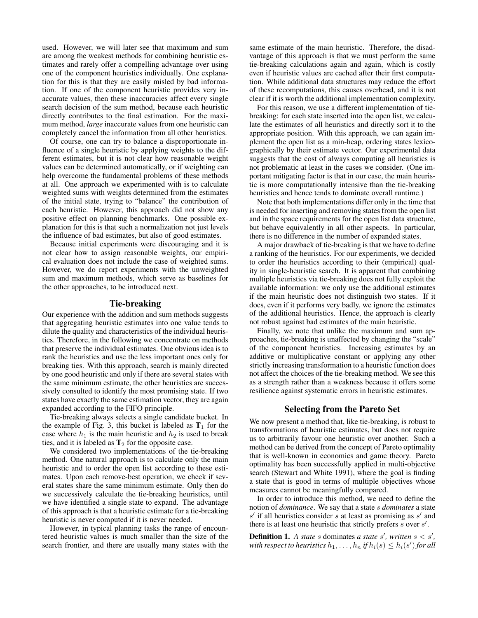used. However, we will later see that maximum and sum are among the weakest methods for combining heuristic estimates and rarely offer a compelling advantage over using one of the component heuristics individually. One explanation for this is that they are easily misled by bad information. If one of the component heuristic provides very inaccurate values, then these inaccuracies affect every single search decision of the sum method, because each heuristic directly contributes to the final estimation. For the maximum method, *large* inaccurate values from one heuristic can completely cancel the information from all other heuristics.

Of course, one can try to balance a disproportionate influence of a single heuristic by applying weights to the different estimates, but it is not clear how reasonable weight values can be determined automatically, or if weighting can help overcome the fundamental problems of these methods at all. One approach we experimented with is to calculate weighted sums with weights determined from the estimates of the initial state, trying to "balance" the contribution of each heuristic. However, this approach did not show any positive effect on planning benchmarks. One possible explanation for this is that such a normalization not just levels the influence of bad estimates, but also of good estimates.

Because initial experiments were discouraging and it is not clear how to assign reasonable weights, our empirical evaluation does not include the case of weighted sums. However, we do report experiments with the unweighted sum and maximum methods, which serve as baselines for the other approaches, to be introduced next.

## Tie-breaking

Our experience with the addition and sum methods suggests that aggregating heuristic estimates into one value tends to dilute the quality and characteristics of the individual heuristics. Therefore, in the following we concentrate on methods that preserve the individual estimates. One obvious idea is to rank the heuristics and use the less important ones only for breaking ties. With this approach, search is mainly directed by one good heuristic and only if there are several states with the same minimum estimate, the other heuristics are successively consulted to identify the most promising state. If two states have exactly the same estimation vector, they are again expanded according to the FIFO principle.

Tie-breaking always selects a single candidate bucket. In the example of Fig. 3, this bucket is labeled as  $T_1$  for the case where  $h_1$  is the main heuristic and  $h_2$  is used to break ties, and it is labeled as  $T_2$  for the opposite case.

We considered two implementations of the tie-breaking method. One natural approach is to calculate only the main heuristic and to order the open list according to these estimates. Upon each remove-best operation, we check if several states share the same minimum estimate. Only then do we successively calculate the tie-breaking heuristics, until we have identified a single state to expand. The advantage of this approach is that a heuristic estimate for a tie-breaking heuristic is never computed if it is never needed.

However, in typical planning tasks the range of encountered heuristic values is much smaller than the size of the search frontier, and there are usually many states with the

same estimate of the main heuristic. Therefore, the disadvantage of this approach is that we must perform the same tie-breaking calculations again and again, which is costly even if heuristic values are cached after their first computation. While additional data structures may reduce the effort of these recomputations, this causes overhead, and it is not clear if it is worth the additional implementation complexity.

For this reason, we use a different implementation of tiebreaking: for each state inserted into the open list, we calculate the estimates of all heuristics and directly sort it to the appropriate position. With this approach, we can again implement the open list as a min-heap, ordering states lexicographically by their estimate vector. Our experimental data suggests that the cost of always computing all heuristics is not problematic at least in the cases we consider. (One important mitigating factor is that in our case, the main heuristic is more computationally intensive than the tie-breaking heuristics and hence tends to dominate overall runtime.)

Note that both implementations differ only in the time that is needed for inserting and removing states from the open list and in the space requirements for the open list data structure, but behave equivalently in all other aspects. In particular, there is no difference in the number of expanded states.

A major drawback of tie-breaking is that we have to define a ranking of the heuristics. For our experiments, we decided to order the heuristics according to their (empirical) quality in single-heuristic search. It is apparent that combining multiple heuristics via tie-breaking does not fully exploit the available information: we only use the additional estimates if the main heuristic does not distinguish two states. If it does, even if it performs very badly, we ignore the estimates of the additional heuristics. Hence, the approach is clearly not robust against bad estimates of the main heuristic.

Finally, we note that unlike the maximum and sum approaches, tie-breaking is unaffected by changing the "scale" of the component heuristics. Increasing estimates by an additive or multiplicative constant or applying any other strictly increasing transformation to a heuristic function does not affect the choices of the tie-breaking method. We see this as a strength rather than a weakness because it offers some resilience against systematic errors in heuristic estimates.

#### Selecting from the Pareto Set

We now present a method that, like tie-breaking, is robust to transformations of heuristic estimates, but does not require us to arbitrarily favour one heuristic over another. Such a method can be derived from the concept of Pareto optimality that is well-known in economics and game theory. Pareto optimality has been successfully applied in multi-objective search (Stewart and White 1991), where the goal is finding a state that is good in terms of multiple objectives whose measures cannot be meaningfully compared.

In order to introduce this method, we need to define the notion of *dominance*. We say that a state s *dominates* a state  $s'$  if all heuristics consider s at least as promising as  $s'$  and there is at least one heuristic that strictly prefers  $s$  over  $s'$ .

**Definition 1.** A state s dominates a state s', written  $s < s'$ , with respect to heuristics  $h_1, \ldots, h_n$  if  $h_i(s) \leq h_i(s')$  for all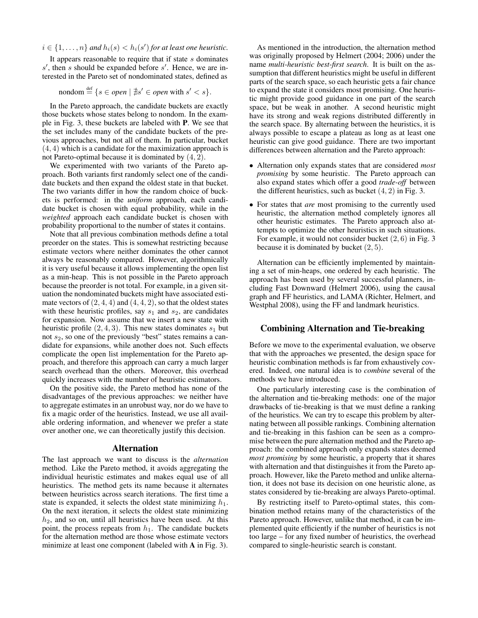$i \in \{1, \ldots, n\}$  and  $h_i(s) < h_i(s')$  for at least one heuristic.

It appears reasonable to require that if state  $s$  dominates  $s'$ , then s should be expanded before  $s'$ . Hence, we are interested in the Pareto set of nondominated states, defined as

$$
n\text{ondom} \stackrel{\text{def}}{=} \{ s \in open \mid \nexists s' \in open \text{ with } s' < s \}.
$$

In the Pareto approach, the candidate buckets are exactly those buckets whose states belong to nondom. In the example in Fig. 3, these buckets are labeled with P. We see that the set includes many of the candidate buckets of the previous approaches, but not all of them. In particular, bucket (4, 4) which is a candidate for the maximization approach is not Pareto-optimal because it is dominated by (4, 2).

We experimented with two variants of the Pareto approach. Both variants first randomly select one of the candidate buckets and then expand the oldest state in that bucket. The two variants differ in how the random choice of buckets is performed: in the *uniform* approach, each candidate bucket is chosen with equal probability, while in the *weighted* approach each candidate bucket is chosen with probability proportional to the number of states it contains.

Note that all previous combination methods define a total preorder on the states. This is somewhat restricting because estimate vectors where neither dominates the other cannot always be reasonably compared. However, algorithmically it is very useful because it allows implementing the open list as a min-heap. This is not possible in the Pareto approach because the preorder is not total. For example, in a given situation the nondominated buckets might have associated estimate vectors of  $(2, 4, 4)$  and  $(4, 4, 2)$ , so that the oldest states with these heuristic profiles, say  $s_1$  and  $s_2$ , are candidates for expansion. Now assume that we insert a new state with heuristic profile  $(2, 4, 3)$ . This new states dominates  $s_1$  but not  $s_2$ , so one of the previously "best" states remains a candidate for expansions, while another does not. Such effects complicate the open list implementation for the Pareto approach, and therefore this approach can carry a much larger search overhead than the others. Moreover, this overhead quickly increases with the number of heuristic estimators.

On the positive side, the Pareto method has none of the disadvantages of the previous approaches: we neither have to aggregate estimates in an unrobust way, nor do we have to fix a magic order of the heuristics. Instead, we use all available ordering information, and whenever we prefer a state over another one, we can theoretically justify this decision.

#### Alternation

The last approach we want to discuss is the *alternation* method. Like the Pareto method, it avoids aggregating the individual heuristic estimates and makes equal use of all heuristics. The method gets its name because it alternates between heuristics across search iterations. The first time a state is expanded, it selects the oldest state minimizing  $h_1$ . On the next iteration, it selects the oldest state minimizing  $h<sub>2</sub>$ , and so on, until all heuristics have been used. At this point, the process repeats from  $h_1$ . The candidate buckets for the alternation method are those whose estimate vectors minimize at least one component (labeled with **A** in Fig. 3).

As mentioned in the introduction, the alternation method was originally proposed by Helmert (2004; 2006) under the name *multi-heuristic best-first search*. It is built on the assumption that different heuristics might be useful in different parts of the search space, so each heuristic gets a fair chance to expand the state it considers most promising. One heuristic might provide good guidance in one part of the search space, but be weak in another. A second heuristic might have its strong and weak regions distributed differently in the search space. By alternating between the heuristics, it is always possible to escape a plateau as long as at least one heuristic can give good guidance. There are two important differences between alternation and the Pareto approach:

- Alternation only expands states that are considered *most promising* by some heuristic. The Pareto approach can also expand states which offer a good *trade-off* between the different heuristics, such as bucket  $(4, 2)$  in Fig. 3.
- For states that *are* most promising to the currently used heuristic, the alternation method completely ignores all other heuristic estimates. The Pareto approach also attempts to optimize the other heuristics in such situations. For example, it would not consider bucket (2, 6) in Fig. 3 because it is dominated by bucket  $(2, 5)$ .

Alternation can be efficiently implemented by maintaining a set of min-heaps, one ordered by each heuristic. The approach has been used by several successful planners, including Fast Downward (Helmert 2006), using the causal graph and FF heuristics, and LAMA (Richter, Helmert, and Westphal 2008), using the FF and landmark heuristics.

# Combining Alternation and Tie-breaking

Before we move to the experimental evaluation, we observe that with the approaches we presented, the design space for heuristic combination methods is far from exhaustively covered. Indeed, one natural idea is to *combine* several of the methods we have introduced.

One particularly interesting case is the combination of the alternation and tie-breaking methods: one of the major drawbacks of tie-breaking is that we must define a ranking of the heuristics. We can try to escape this problem by alternating between all possible rankings. Combining alternation and tie-breaking in this fashion can be seen as a compromise between the pure alternation method and the Pareto approach: the combined approach only expands states deemed *most promising* by some heuristic, a property that it shares with alternation and that distinguishes it from the Pareto approach. However, like the Pareto method and unlike alternation, it does not base its decision on one heuristic alone, as states considered by tie-breaking are always Pareto-optimal.

By restricting itself to Pareto-optimal states, this combination method retains many of the characteristics of the Pareto approach. However, unlike that method, it can be implemented quite efficiently if the number of heuristics is not too large – for any fixed number of heuristics, the overhead compared to single-heuristic search is constant.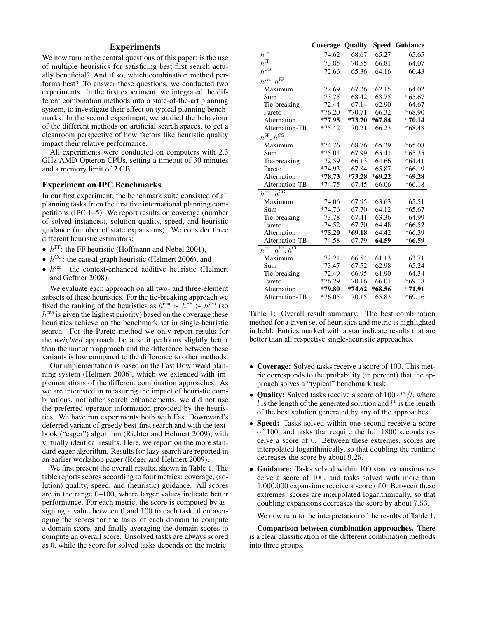# **Experiments**

We now turn to the central questions of this paper: is the use of multiple heuristics for satisficing best-first search actually beneficial? And if so, which combination method performs best? To answer these questions, we conducted two experiments. In the first experiment, we integrated the different combination methods into a state-of-the-art planning system, to investigate their effect on typical planning benchmarks. In the second experiment, we studied the behaviour of the different methods on artificial search spaces, to get a cleanroom perspective of how factors like heuristic quality impact their relative performance.

All experiments were conducted on computers with 2.3 GHz AMD Opteron CPUs, setting a timeout of 30 minutes and a memory limit of 2 GB.

# Experiment on IPC Benchmarks

In our first experiment, the benchmark suite consisted of all planning tasks from the first five international planning competitions (IPC 1–5). We report results on coverage (number of solved instances), solution quality, speed, and heuristic guidance (number of state expansions). We consider three different heuristic estimators:

- $h^{\text{FF}}$ : the FF heuristic (Hoffmann and Nebel 2001),
- $h^{\text{CG}}$ : the causal graph heuristic (Helmert 2006), and
- $\bullet$   $h^{\text{cea}}$ : the context-enhanced additive heuristic (Helmert and Geffner 2008).

We evaluate each approach on all two- and three-element subsets of these heuristics. For the tie-breaking approach we fixed the ranking of the heuristics as  $h^{\text{cea}} \succ \bar{h}^{\text{FF}} \succ h^{\text{CG}}$  (so  $h^{\text{cea}}$  is given the highest priority) based on the coverage these heuristics achieve on the benchmark set in single-heuristic search. For the Pareto method we only report results for the *weighted* approach, because it performs slightly better than the uniform approach and the difference between these variants is low compared to the difference to other methods.

Our implementation is based on the Fast Downward planning system (Helmert 2006), which we extended with implementations of the different combination approaches. As we are interested in measuring the impact of heuristic combinations, not other search enhancements, we did not use the preferred operator information provided by the heuristics. We have run experiments both with Fast Downward's deferred variant of greedy best-first search and with the textbook ("eager") algorithm (Richter and Helmert 2009), with virtually identical results. Here, we report on the more standard eager algorithm. Results for lazy search are reported in an earlier workshop paper (Röger and Helmert 2009).

We first present the overall results, shown in Table 1. The table reports scores according to four metrics: coverage, (solution) quality, speed, and (heuristic) guidance. All scores are in the range 0–100, where larger values indicate better performance. For each metric, the score is computed by assigning a value between 0 and 100 to each task, then averaging the scores for the tasks of each domain to compute a domain score, and finally averaging the domain scores to compute an overall score. Unsolved tasks are always scored as 0, while the score for solved tasks depends on the metric:

|                                                                                 | Coverage | <b>Quality</b> | Speed    | Guidance |
|---------------------------------------------------------------------------------|----------|----------------|----------|----------|
| $h^{\widetilde{\text{cea}}}$                                                    | 74.62    | 68.67          | 65.27    | 65.65    |
| $h^{\text{FF}}$                                                                 | 73.85    | 70.55          | 66.81    | 64.07    |
| $h^{\text{CG}}$                                                                 | 72.66    | 65.36          | 64.16    | 60.43    |
| $h^{\text{cea}}, h^{\text{FF}}$                                                 |          |                |          |          |
| Maximum                                                                         | 72.69    | 67.26          | 62.15    | 64.02    |
| Sum                                                                             | 73.75    | 68.42          | 63.75    | $*65.67$ |
| Tie-breaking                                                                    | 72.44    | 67.14          | 62.90    | 64.67    |
| Pareto                                                                          | $*76.20$ | $*70.71$       | 66.32    | $*68.90$ |
| Alternation                                                                     | $*77.95$ | $*73.70$       | $*67.84$ | $*70.14$ |
| Alternation-TB                                                                  | $*75.42$ | 70.21          | 66.23    | $*68.48$ |
| $\overline{h^{\text{FF}}},\overline{h^{\text{CG}}}$                             |          |                |          |          |
| Maximum                                                                         | *74.76   | 68.76          | 65.29    | $*65.08$ |
| Sum                                                                             | $*75.01$ | 67.99          | 65.41    | $*65.35$ |
| Tie-breaking                                                                    | 72.59    | 66.13          | 64.66    | $*64.41$ |
| Pareto                                                                          | $*74.93$ | 67.84          | 65.87    | $*66.19$ |
| Alternation                                                                     | $*78.73$ | $*73.28$       | $*69.22$ | $*69.28$ |
| Alternation-TB                                                                  | $*74.75$ | 67.45          | 66.06    | $*66.18$ |
| $h^{\text{cea}}$ , $h^{\text{CG}}$                                              |          |                |          |          |
| Maximum                                                                         | 74.06    | 67.95          | 63.63    | 65.51    |
| Sum                                                                             | $*74.76$ | 67.70          | 64.12    | $*65.67$ |
| Tie-breaking                                                                    | 73.78    | 67.41          | 63.36    | 64.99    |
| Pareto                                                                          | 74.52    | 67.70          | 64.48    | $*66.52$ |
| Alternation                                                                     | $*75.20$ | $*69.18$       | 64.42    | $*66.39$ |
| Alternation-TB                                                                  | 74.58    | 67.79          | 64.59    | $*66.59$ |
| $h^{\overline{\text{cea}}}, h^{\overline{\text{FF}}}, h^{\overline{\text{CG}}}$ |          |                |          |          |
| Maximum                                                                         | 72.21    | 66.54          | 61.13    | 63.71    |
| Sum                                                                             | 73.47    | 67.52          | 62.98    | 65.24    |
| Tie-breaking                                                                    | 72.49    | 66.95          | 61.90    | 64.34    |
| Pareto                                                                          | $*76.29$ | 70.16          | 66.01    | $*69.18$ |
| Alternation                                                                     | $*79.80$ | $*74.62$       | $*68.56$ | $*71.91$ |
| Alternation-TB                                                                  | $*76.05$ | 70.15          | 65.83    | $*69.16$ |

Table 1: Overall result summary. The best combination method for a given set of heuristics and metric is highlighted in bold. Entries marked with a star indicate results that are better than all respective single-heuristic approaches.

- Coverage: Solved tasks receive a score of 100. This metric corresponds to the probability (in percent) that the approach solves a "typical" benchmark task.
- Quality: Solved tasks receive a score of  $100 \cdot l^*/l$ , where l is the length of the generated solution and  $l^*$  is the length of the best solution generated by any of the approaches.
- Speed: Tasks solved within one second receive a score of 100, and tasks that require the full 1800 seconds receive a score of 0. Between these extremes, scores are interpolated logarithmically, so that doubling the runtime decreases the score by about 9.25.
- Guidance: Tasks solved within 100 state expansions receive a score of 100, and tasks solved with more than 1,000,000 expansions receive a score of 0. Between these extremes, scores are interpolated logarithmically, so that doubling expansions decreases the score by about 7.53.

We now turn to the interpretation of the results of Table 1.

Comparison between combination approaches. There is a clear classification of the different combination methods into three groups.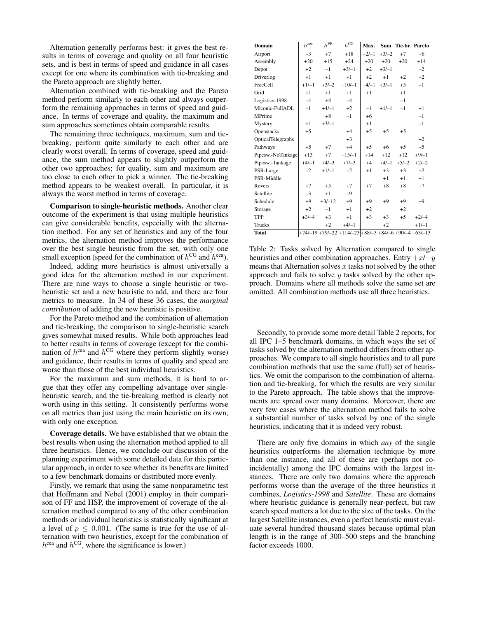Alternation generally performs best: it gives the best results in terms of coverage and quality on all four heuristic sets, and is best in terms of speed and guidance in all cases except for one where its combination with tie-breaking and the Pareto approach are slightly better.

Alternation combined with tie-breaking and the Pareto method perform similarly to each other and always outperform the remaining approaches in terms of speed and guidance. In terms of coverage and quality, the maximum and sum approaches sometimes obtain comparable results.

The remaining three techniques, maximum, sum and tiebreaking, perform quite similarly to each other and are clearly worst overall. In terms of coverage, speed and guidance, the sum method appears to slightly outperform the other two approaches; for quality, sum and maximum are too close to each other to pick a winner. The tie-breaking method appears to be weakest overall. In particular, it is always the worst method in terms of coverage.

Comparison to single-heuristic methods. Another clear outcome of the experiment is that using multiple heuristics can give considerable benefits, especially with the alternation method. For any set of heuristics and any of the four metrics, the alternation method improves the performance over the best single heuristic from the set, with only one small exception (speed for the combination of  $h^{\text{CG}}$  and  $h^{\text{cea}}$ ).

Indeed, adding more heuristics is almost universally a good idea for the alternation method in our experiment. There are nine ways to choose a single heuristic or twoheuristic set and a new heuristic to add, and there are four metrics to measure. In 34 of these 36 cases, the *marginal contribution* of adding the new heuristic is positive.

For the Pareto method and the combination of alternation and tie-breaking, the comparison to single-heuristic search gives somewhat mixed results. While both approaches lead to better results in terms of coverage (except for the combination of  $h^{\text{cea}}$  and  $h^{\text{CG}}$  where they perform slightly worse) and guidance, their results in terms of quality and speed are worse than those of the best individual heuristics.

For the maximum and sum methods, it is hard to argue that they offer any compelling advantage over singleheuristic search, and the tie-breaking method is clearly not worth using in this setting. It consistently performs worse on all metrics than just using the main heuristic on its own, with only one exception.

Coverage details. We have established that we obtain the best results when using the alternation method applied to all three heuristics. Hence, we conclude our discussion of the planning experiment with some detailed data for this particular approach, in order to see whether its benefits are limited to a few benchmark domains or distributed more evenly.

Firstly, we remark that using the same nonparametric test that Hoffmann and Nebel (2001) employ in their comparison of FF and HSP, the improvement of coverage of the alternation method compared to any of the other combination methods or individual heuristics is statistically significant at a level of  $p \leq 0.001$ . (The same is true for the use of alternation with two heuristics, except for the combination of  $h^{\text{cea}}$  and  $h^{\text{CG}}$ , where the significance is lower.)

| Domain                   | $h^{\rm cea}$ | $h^{\mathrm{FF}}$ | $h^{\mathrm{CG}}$                                      | Max.    |         | Sum Tie-br. Pareto |         |
|--------------------------|---------------|-------------------|--------------------------------------------------------|---------|---------|--------------------|---------|
| Airport                  | $-3$          | $+7$              | $+18$                                                  | $+2/-1$ | $+3/-2$ | $+7$               | $+6$    |
| Assembly                 | $+20$         | $+15$             | $+24$                                                  | $+20$   | $+20$   | $+20$              | $+14$   |
| Depot                    | $+2$          | $-1$              | $+3/-1$                                                | $+2$    | $+3/-1$ |                    | $-2$    |
| Driverlog                | $+1$          | $+1$              | $+1$                                                   | $+2$    | $+1$    | $+2$               | $+2$    |
| FreeCell                 | $+1/-1$       | $+3/-2$           | $+10/-1$                                               | $+4/-1$ | $+3/-1$ | $+5$               | $-1$    |
| Grid                     | $+1$          | $+1$              | $+1$                                                   | $+1$    |         | $+1$               |         |
| Logistics-1998           | $-4$          | $+4$              | $-4$                                                   |         |         | $-1$               |         |
| Miconic-FullADL          | $-1$          | $+4/-1$           | $+2$                                                   | $-1$    | $+1/-1$ | $-1$               | $+1$    |
| MPrime                   |               | $+8$              | $-1$                                                   | $+6$    |         |                    | $-1$    |
| Mystery                  | $+1$          | $+3/-1$           |                                                        | $+1$    |         |                    | $-1$    |
| Openstacks               | $+5$          |                   | $+4$                                                   | $+5$    | $+5$    | $+5$               |         |
| <b>OpticalTelegraphs</b> |               |                   | $+3$                                                   |         |         |                    | $+2$    |
| Pathways                 | $+5$          | $+7$              | $+4$                                                   | $+5$    | $+6$    | $+5$               | $+5$    |
| Pipesw.-NoTankage        | $+13$         | $+7$              | $+15/-1$                                               | $+14$   | $+12$   | $+12$              | $+9/-1$ |
| Pipesw.-Tankage          | $+4/-1$       | $+4/-3$           | $+7/-3$                                                | $+4$    | $+4/-1$ | $+5/-2$            | $+2/-2$ |
| PSR-Large                | $-2$          | $+1/-1$           | $-2$                                                   | $+1$    | $+3$    | $+3$               | $+2$    |
| PSR-Middle               |               |                   |                                                        |         | $+1$    | $+1$               | $+1$    |
| Rovers                   | $+7$          | $+5$              | $+7$                                                   | $+7$    | $+8$    | $+8$               | $+7$    |
| Satellite                | $-3$          | $+1$              | $-9$                                                   |         |         |                    |         |
| Schedule                 | $+9$          | $+3/-12$          | $+9$                                                   | $+9$    | $+9$    | $+9$               | $+9$    |
| Storage                  | $+2$          | $-1$              | $+1$                                                   | $+2$    |         | $+2$               |         |
| <b>TPP</b>               | $+3/-4$       | $+3$              | $+1$                                                   | $+3$    | $+3$    | $+5$               | $+2/-4$ |
| Trucks                   |               | $+2$              | $+4/-1$                                                |         | $+2$    |                    | $+1/-1$ |
| <b>Total</b>             |               |                   | $+74/-19 +79/-22 +114/-23+88/-3 +84/-6 +90/-4 +63/-13$ |         |         |                    |         |

Table 2: Tasks solved by Alternation compared to single heuristics and other combination approaches. Entry  $+x/-y$ means that Alternation solves  $x$  tasks not solved by the other approach and fails to solve  $y$  tasks solved by the other approach. Domains where all methods solve the same set are omitted. All combination methods use all three heuristics.

Secondly, to provide some more detail Table 2 reports, for all IPC 1–5 benchmark domains, in which ways the set of tasks solved by the alternation method differs from other approaches. We compare to all single heuristics and to all pure combination methods that use the same (full) set of heuristics. We omit the comparison to the combination of alternation and tie-breaking, for which the results are very similar to the Pareto approach. The table shows that the improvements are spread over many domains. Moreover, there are very few cases where the alternation method fails to solve a substantial number of tasks solved by one of the single heuristics, indicating that it is indeed very robust.

There are only five domains in which *any* of the single heuristics outperforms the alternation technique by more than one instance, and all of these are (perhaps not coincidentally) among the IPC domains with the largest instances. There are only two domains where the approach performs worse than the average of the three heuristics it combines, *Logistics-1998* and *Satellite*. These are domains where heuristic guidance is generally near-perfect, but raw search speed matters a lot due to the size of the tasks. On the largest Satellite instances, even a perfect heuristic must evaluate several hundred thousand states because optimal plan length is in the range of 300–500 steps and the branching factor exceeds 1000.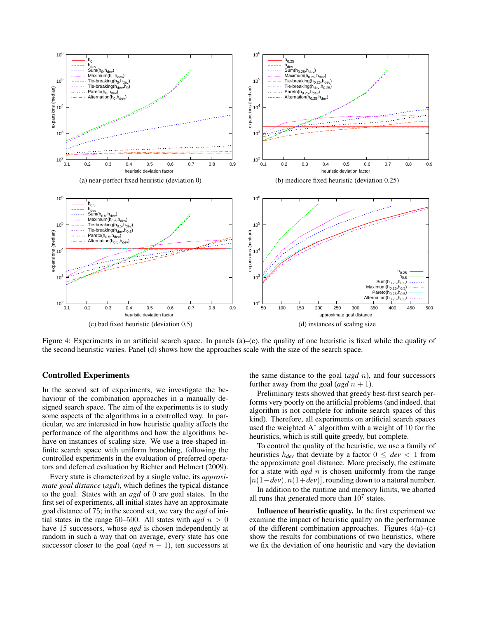

Figure 4: Experiments in an artificial search space. In panels (a)–(c), the quality of one heuristic is fixed while the quality of the second heuristic varies. Panel (d) shows how the approaches scale with the size of the search space.

# Controlled Experiments

In the second set of experiments, we investigate the behaviour of the combination approaches in a manually designed search space. The aim of the experiments is to study some aspects of the algorithms in a controlled way. In particular, we are interested in how heuristic quality affects the performance of the algorithms and how the algorithms behave on instances of scaling size. We use a tree-shaped infinite search space with uniform branching, following the controlled experiments in the evaluation of preferred operators and deferred evaluation by Richter and Helmert (2009).

Every state is characterized by a single value, its *approximate goal distance* (*agd*), which defines the typical distance to the goal. States with an *agd* of 0 are goal states. In the first set of experiments, all initial states have an approximate goal distance of 75; in the second set, we vary the *agd* of initial states in the range 50–500. All states with  $agd \; n > 0$ have 15 successors, whose *agd* is chosen independently at random in such a way that on average, every state has one successor closer to the goal (*agd*  $n - 1$ ), ten successors at

the same distance to the goal (*agd* n), and four successors further away from the goal  $(\text{agd } n+1)$ .

Preliminary tests showed that greedy best-first search performs very poorly on the artificial problems (and indeed, that algorithm is not complete for infinite search spaces of this kind). Therefore, all experiments on artificial search spaces used the weighted  $A^*$  algorithm with a weight of 10 for the heuristics, which is still quite greedy, but complete.

To control the quality of the heuristic, we use a family of heuristics  $h_{dev}$  that deviate by a factor  $0 \leq dev < 1$  from the approximate goal distance. More precisely, the estimate for a state with *agd n* is chosen uniformly from the range  $[n(1-dev), n(1+dev)]$ , rounding down to a natural number. In addition to the runtime and memory limits, we aborted

all runs that generated more than  $10^7$  states.

Influence of heuristic quality. In the first experiment we examine the impact of heuristic quality on the performance of the different combination approaches. Figures  $4(a)$ –(c) show the results for combinations of two heuristics, where we fix the deviation of one heuristic and vary the deviation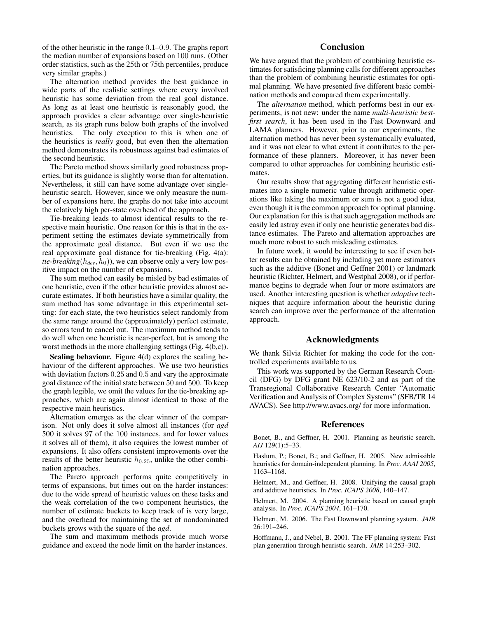of the other heuristic in the range 0.1–0.9. The graphs report the median number of expansions based on 100 runs. (Other order statistics, such as the 25th or 75th percentiles, produce very similar graphs.)

The alternation method provides the best guidance in wide parts of the realistic settings where every involved heuristic has some deviation from the real goal distance. As long as at least one heuristic is reasonably good, the approach provides a clear advantage over single-heuristic search, as its graph runs below both graphs of the involved heuristics. The only exception to this is when one of the heuristics is *really* good, but even then the alternation method demonstrates its robustness against bad estimates of the second heuristic.

The Pareto method shows similarly good robustness properties, but its guidance is slightly worse than for alternation. Nevertheless, it still can have some advantage over singleheuristic search. However, since we only measure the number of expansions here, the graphs do not take into account the relatively high per-state overhead of the approach.

Tie-breaking leads to almost identical results to the respective main heuristic. One reason for this is that in the experiment setting the estimates deviate symmetrically from the approximate goal distance. But even if we use the real approximate goal distance for tie-breaking (Fig. 4(a): *tie-breaking* $(h_{dev}, h_0)$ , we can observe only a very low positive impact on the number of expansions.

The sum method can easily be misled by bad estimates of one heuristic, even if the other heuristic provides almost accurate estimates. If both heuristics have a similar quality, the sum method has some advantage in this experimental setting: for each state, the two heuristics select randomly from the same range around the (approximately) perfect estimate, so errors tend to cancel out. The maximum method tends to do well when one heuristic is near-perfect, but is among the worst methods in the more challenging settings (Fig. 4(b,c)).

Scaling behaviour. Figure 4(d) explores the scaling behaviour of the different approaches. We use two heuristics with deviation factors  $0.25$  and  $0.5$  and vary the approximate goal distance of the initial state between 50 and 500. To keep the graph legible, we omit the values for the tie-breaking approaches, which are again almost identical to those of the respective main heuristics.

Alternation emerges as the clear winner of the comparison. Not only does it solve almost all instances (for *agd* 500 it solves 97 of the 100 instances, and for lower values it solves all of them), it also requires the lowest number of expansions. It also offers consistent improvements over the results of the better heuristic  $h_{0.25}$ , unlike the other combination approaches.

The Pareto approach performs quite competitively in terms of expansions, but times out on the harder instances: due to the wide spread of heuristic values on these tasks and the weak correlation of the two component heuristics, the number of estimate buckets to keep track of is very large, and the overhead for maintaining the set of nondominated buckets grows with the square of the *agd*.

The sum and maximum methods provide much worse guidance and exceed the node limit on the harder instances.

# **Conclusion**

We have argued that the problem of combining heuristic estimates for satisficing planning calls for different approaches than the problem of combining heuristic estimates for optimal planning. We have presented five different basic combination methods and compared them experimentally.

The *alternation* method, which performs best in our experiments, is not new: under the name *multi-heuristic bestfirst search*, it has been used in the Fast Downward and LAMA planners. However, prior to our experiments, the alternation method has never been systematically evaluated, and it was not clear to what extent it contributes to the performance of these planners. Moreover, it has never been compared to other approaches for combining heuristic estimates.

Our results show that aggregating different heuristic estimates into a single numeric value through arithmetic operations like taking the maximum or sum is not a good idea, even though it is the common approach for optimal planning. Our explanation for this is that such aggregation methods are easily led astray even if only one heuristic generates bad distance estimates. The Pareto and alternation approaches are much more robust to such misleading estimates.

In future work, it would be interesting to see if even better results can be obtained by including yet more estimators such as the additive (Bonet and Geffner 2001) or landmark heuristic (Richter, Helmert, and Westphal 2008), or if performance begins to degrade when four or more estimators are used. Another interesting question is whether *adaptive* techniques that acquire information about the heuristic during search can improve over the performance of the alternation approach.

### Acknowledgments

We thank Silvia Richter for making the code for the controlled experiments available to us.

This work was supported by the German Research Council (DFG) by DFG grant NE 623/10-2 and as part of the Transregional Collaborative Research Center "Automatic Verification and Analysis of Complex Systems" (SFB/TR 14 AVACS). See http://www.avacs.org/ for more information.

### References

Bonet, B., and Geffner, H. 2001. Planning as heuristic search. *AIJ* 129(1):5–33.

Haslum, P.; Bonet, B.; and Geffner, H. 2005. New admissible heuristics for domain-independent planning. In *Proc. AAAI 2005*, 1163–1168.

Helmert, M., and Geffner, H. 2008. Unifying the causal graph and additive heuristics. In *Proc. ICAPS 2008*, 140–147.

Helmert, M. 2004. A planning heuristic based on causal graph analysis. In *Proc. ICAPS 2004*, 161–170.

Helmert, M. 2006. The Fast Downward planning system. *JAIR* 26:191–246.

Hoffmann, J., and Nebel, B. 2001. The FF planning system: Fast plan generation through heuristic search. *JAIR* 14:253–302.